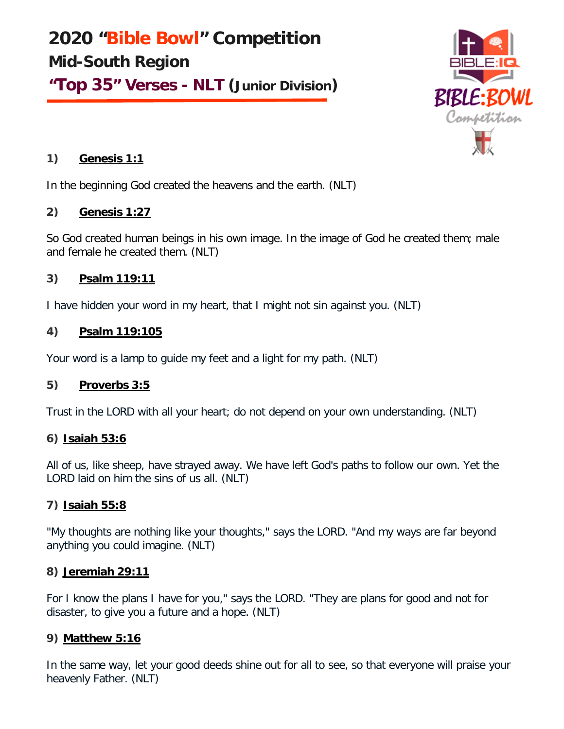**2020 "Bible Bowl" Competition Mid-South Region "Top 35" Verses - NLT (Junior Division)**



## **1) Genesis 1:1**

In the beginning God created the heavens and the earth. (NLT)

## **2) Genesis 1:27**

So God created human beings in his own image. In the image of God he created them; male and female he created them. (NLT)

## **3) Psalm 119:11**

I have hidden your word in my heart, that I might not sin against you. (NLT)

## **4) Psalm 119:105**

Your word is a lamp to guide my feet and a light for my path. (NLT)

# **5) Proverbs 3:5**

Trust in the LORD with all your heart; do not depend on your own understanding. (NLT)

# **6) Isaiah 53:6**

All of us, like sheep, have strayed away. We have left God's paths to follow our own. Yet the LORD laid on him the sins of us all. (NLT)

# **7) Isaiah 55:8**

"My thoughts are nothing like your thoughts," says the LORD. "And my ways are far beyond anything you could imagine. (NLT)

## **8) Jeremiah 29:11**

For I know the plans I have for you," says the LORD. "They are plans for good and not for disaster, to give you a future and a hope. (NLT)

# **9) Matthew 5:16**

In the same way, let your good deeds shine out for all to see, so that everyone will praise your heavenly Father. (NLT)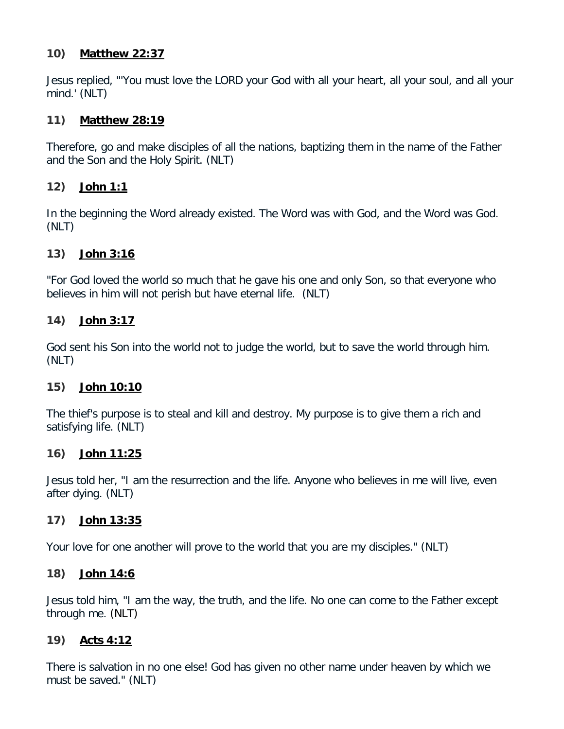#### **10) Matthew 22:37**

Jesus replied, "'You must love the LORD your God with all your heart, all your soul, and all your mind.' (NLT)

#### **11) Matthew 28:19**

Therefore, go and make disciples of all the nations, baptizing them in the name of the Father and the Son and the Holy Spirit. (NLT)

## **12) John 1:1**

In the beginning the Word already existed. The Word was with God, and the Word was God. (NLT)

#### **13) John 3:16**

"For God loved the world so much that he gave his one and only Son, so that everyone who believes in him will not perish but have eternal life. (NLT)

#### **14) John 3:17**

God sent his Son into the world not to judge the world, but to save the world through him. (NLT)

#### **15) John 10:10**

The thief's purpose is to steal and kill and destroy. My purpose is to give them a rich and satisfying life. (NLT)

#### **16) John 11:25**

Jesus told her, "I am the resurrection and the life. Anyone who believes in me will live, even after dying. (NLT)

## **17) John 13:35**

Your love for one another will prove to the world that you are my disciples." (NLT)

#### **18) John 14:6**

Jesus told him, "I am the way, the truth, and the life. No one can come to the Father except through me. (NLT)

## **19) Acts 4:12**

There is salvation in no one else! God has given no other name under heaven by which we must be saved." (NLT)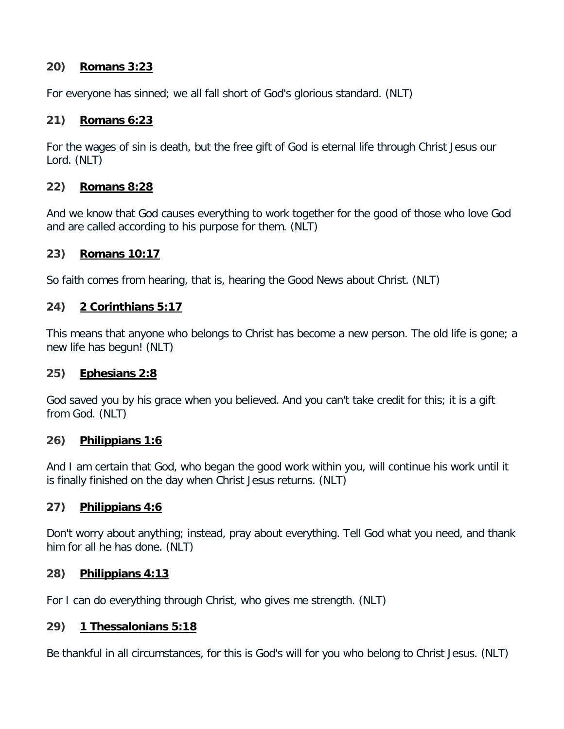### **20) Romans 3:23**

For everyone has sinned; we all fall short of God's glorious standard. (NLT)

### **21) Romans 6:23**

For the wages of sin is death, but the free gift of God is eternal life through Christ Jesus our Lord. (NLT)

#### **22) Romans 8:28**

And we know that God causes everything to work together for the good of those who love God and are called according to his purpose for them. (NLT)

#### **23) Romans 10:17**

So faith comes from hearing, that is, hearing the Good News about Christ. (NLT)

#### **24) 2 Corinthians 5:17**

This means that anyone who belongs to Christ has become a new person. The old life is gone; a new life has begun! (NLT)

#### **25) Ephesians 2:8**

God saved you by his grace when you believed. And you can't take credit for this; it is a gift from God. (NLT)

#### **26) Philippians 1:6**

And I am certain that God, who began the good work within you, will continue his work until it is finally finished on the day when Christ Jesus returns. (NLT)

## **27) Philippians 4:6**

Don't worry about anything; instead, pray about everything. Tell God what you need, and thank him for all he has done. (NLT)

#### **28) Philippians 4:13**

For I can do everything through Christ, who gives me strength. (NLT)

## **29) 1 Thessalonians 5:18**

Be thankful in all circumstances, for this is God's will for you who belong to Christ Jesus. (NLT)